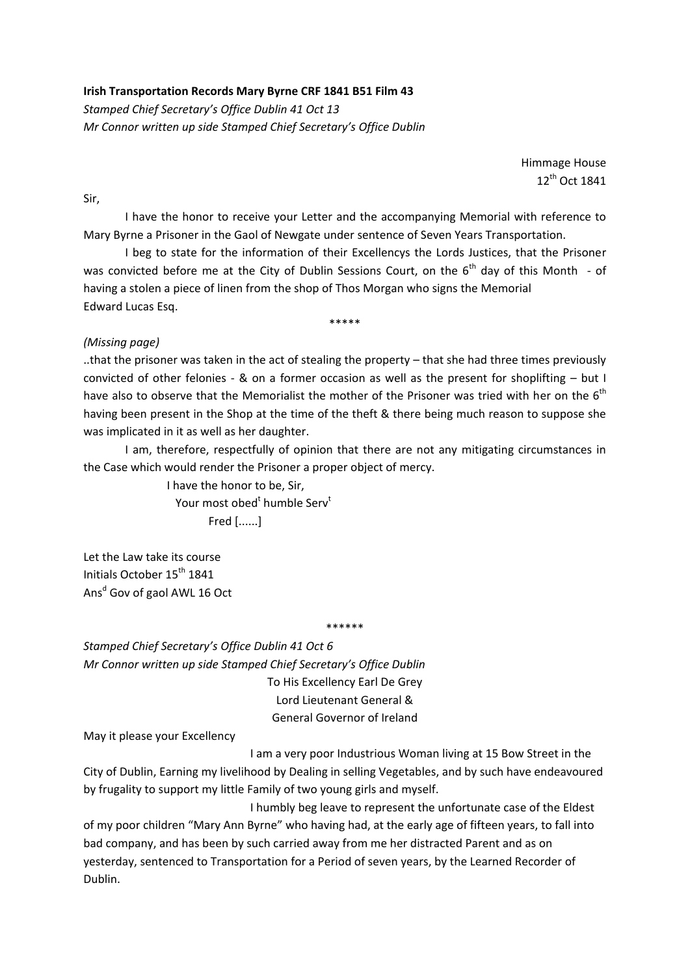## **Irish Transportation Records Mary Byrne CRF 1841 B51 Film 43**

*Stamped Chief Secretary's Office Dublin 41 Oct 13 Mr Connor written up side Stamped Chief Secretary's Office Dublin*

> Himmage House 12th Oct 1841

Sir,

I have the honor to receive your Letter and the accompanying Memorial with reference to Mary Byrne a Prisoner in the Gaol of Newgate under sentence of Seven Years Transportation.

I beg to state for the information of their Excellencys the Lords Justices, that the Prisoner was convicted before me at the City of Dublin Sessions Court, on the 6<sup>th</sup> dav of this Month - of having a stolen a piece of linen from the shop of Thos Morgan who signs the Memorial Edward Lucas Esq.

\*\*\*\*\*

## *(Missing page)*

..that the prisoner was taken in the act of stealing the property – that she had three times previously convicted of other felonies - & on a former occasion as well as the present for shoplifting – but I have also to observe that the Memorialist the mother of the Prisoner was tried with her on the  $6<sup>th</sup>$ having been present in the Shop at the time of the theft & there being much reason to suppose she was implicated in it as well as her daughter.

I am, therefore, respectfully of opinion that there are not any mitigating circumstances in the Case which would render the Prisoner a proper object of mercy.

> I have the honor to be, Sir, Your most obed<sup>t</sup> humble Serv<sup>t</sup> Fred [......]

Let the Law take its course Initials October 15<sup>th</sup> 1841 Ans<sup>d</sup> Gov of gaol AWL 16 Oct

\*\*\*\*\*\*

*Stamped Chief Secretary's Office Dublin 41 Oct 6 Mr Connor written up side Stamped Chief Secretary's Office Dublin* To His Excellency Earl De Grey Lord Lieutenant General & General Governor of Ireland

May it please your Excellency

I am a very poor Industrious Woman living at 15 Bow Street in the City of Dublin, Earning my livelihood by Dealing in selling Vegetables, and by such have endeavoured by frugality to support my little Family of two young girls and myself.

I humbly beg leave to represent the unfortunate case of the Eldest of my poor children "Mary Ann Byrne" who having had, at the early age of fifteen years, to fall into bad company, and has been by such carried away from me her distracted Parent and as on yesterday, sentenced to Transportation for a Period of seven years, by the Learned Recorder of Dublin.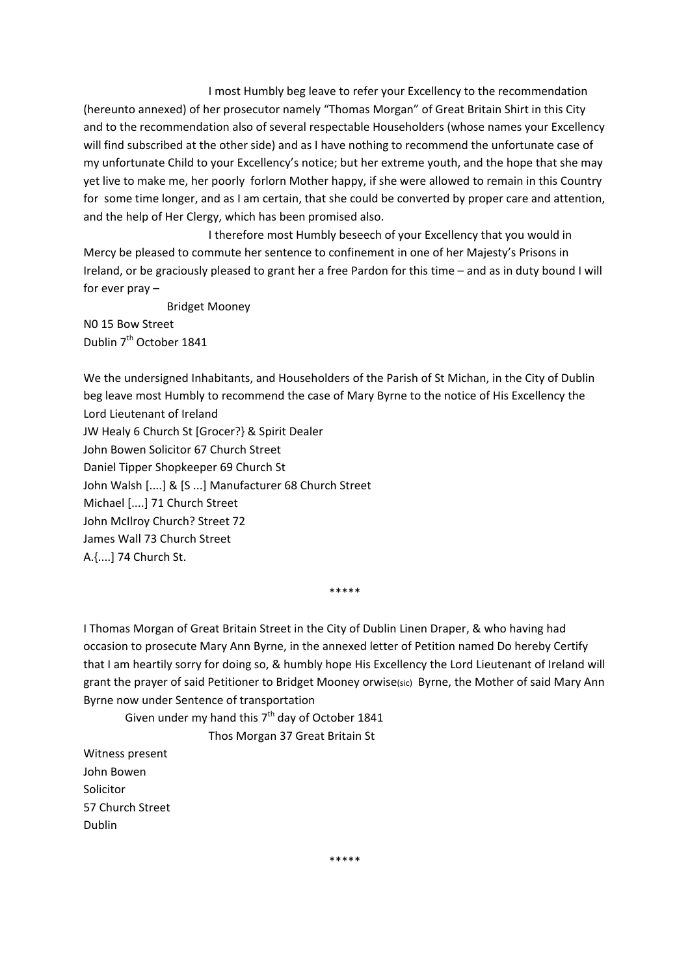I most Humbly beg leave to refer your Excellency to the recommendation (hereunto annexed) of her prosecutor namely "Thomas Morgan" of Great Britain Shirt in this City and to the recommendation also of several respectable Householders (whose names your Excellency will find subscribed at the other side) and as I have nothing to recommend the unfortunate case of my unfortunate Child to your Excellency's notice; but her extreme youth, and the hope that she may yet live to make me, her poorly forlorn Mother happy, if she were allowed to remain in this Country for some time longer, and as I am certain, that she could be converted by proper care and attention, and the help of Her Clergy, which has been promised also.

I therefore most Humbly beseech of your Excellency that you would in Mercy be pleased to commute her sentence to confinement in one of her Majesty's Prisons in Ireland, or be graciously pleased to grant her a free Pardon for this time – and as in duty bound I will for ever pray –

Bridget Mooney

N0 15 Bow Street Dublin 7<sup>th</sup> October 1841

We the undersigned Inhabitants, and Householders of the Parish of St Michan, in the City of Dublin beg leave most Humbly to recommend the case of Mary Byrne to the notice of His Excellency the Lord Lieutenant of Ireland JW Healy 6 Church St [Grocer?} & Spirit Dealer John Bowen Solicitor 67 Church Street Daniel Tipper Shopkeeper 69 Church St John Walsh [....] & [S ...] Manufacturer 68 Church Street Michael [....] 71 Church Street John McIlroy Church? Street 72 James Wall 73 Church Street A.{....] 74 Church St.

\*\*\*\*\*

I Thomas Morgan of Great Britain Street in the City of Dublin Linen Draper, & who having had occasion to prosecute Mary Ann Byrne, in the annexed letter of Petition named Do hereby Certify that I am heartily sorry for doing so, & humbly hope His Excellency the Lord Lieutenant of Ireland will grant the prayer of said Petitioner to Bridget Mooney orwise(sic) Byrne, the Mother of said Mary Ann Byrne now under Sentence of transportation

Given under my hand this  $7<sup>th</sup>$  day of October 1841

Thos Morgan 37 Great Britain St

Witness present John Bowen Solicitor 57 Church Street Dublin

\*\*\*\*\*